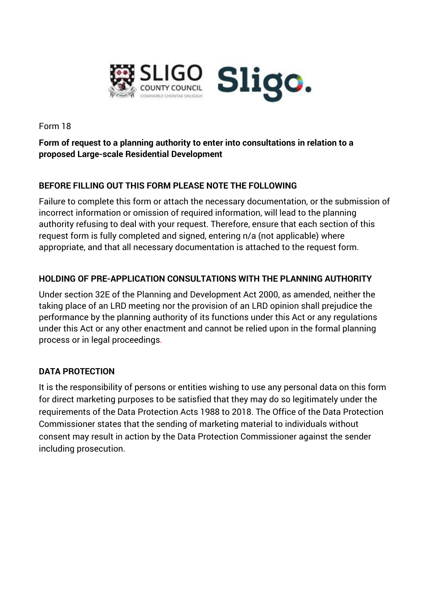

Form 18

## **Form of request to a planning authority to enter into consultations in relation to a proposed Large-scale Residential Development**

## **BEFORE FILLING OUT THIS FORM PLEASE NOTE THE FOLLOWING**

Failure to complete this form or attach the necessary documentation, or the submission of incorrect information or omission of required information, will lead to the planning authority refusing to deal with your request. Therefore, ensure that each section of this request form is fully completed and signed, entering n/a (not applicable) where appropriate, and that all necessary documentation is attached to the request form.

### **HOLDING OF PRE-APPLICATION CONSULTATIONS WITH THE PLANNING AUTHORITY**

Under section 32E of the Planning and Development Act 2000, as amended, neither the taking place of an LRD meeting nor the provision of an LRD opinion shall prejudice the performance by the planning authority of its functions under this Act or any regulations under this Act or any other enactment and cannot be relied upon in the formal planning process or in legal proceedings.

## **DATA PROTECTION**

It is the responsibility of persons or entities wishing to use any personal data on this form for direct marketing purposes to be satisfied that they may do so legitimately under the requirements of the Data Protection Acts 1988 to 2018. The Office of the Data Protection Commissioner states that the sending of marketing material to individuals without consent may result in action by the Data Protection Commissioner against the sender including prosecution.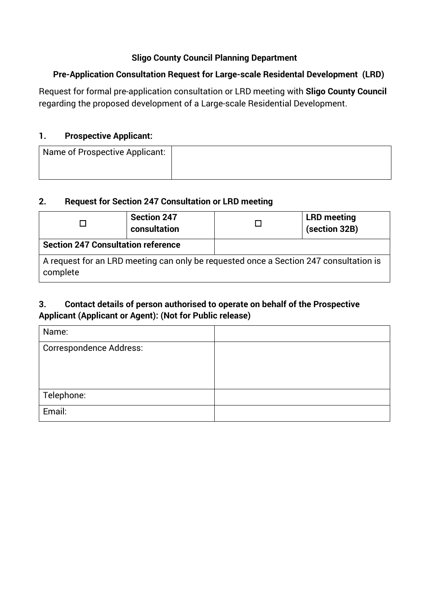## **Sligo County Council Planning Department**

## **Pre-Application Consultation Request for Large-scale Residental Development (LRD)**

Request for formal pre-application consultation or LRD meeting with **Sligo County Council**  regarding the proposed development of a Large-scale Residential Development.

## **1. Prospective Applicant:**

| Name of Prospective Applicant: |  |
|--------------------------------|--|
|                                |  |

#### **2. Request for Section 247 Consultation or LRD meeting**

|                                                                                                   | <b>Section 247</b><br>consultation |  | <b>LRD</b> meeting<br>(section 32B) |
|---------------------------------------------------------------------------------------------------|------------------------------------|--|-------------------------------------|
| <b>Section 247 Consultation reference</b>                                                         |                                    |  |                                     |
| A request for an LRD meeting can only be requested once a Section 247 consultation is<br>complete |                                    |  |                                     |

## **3. Contact details of person authorised to operate on behalf of the Prospective Applicant (Applicant or Agent): (Not for Public release)**

| Name:                          |  |
|--------------------------------|--|
| <b>Correspondence Address:</b> |  |
|                                |  |
|                                |  |
| Telephone:                     |  |
| Email:                         |  |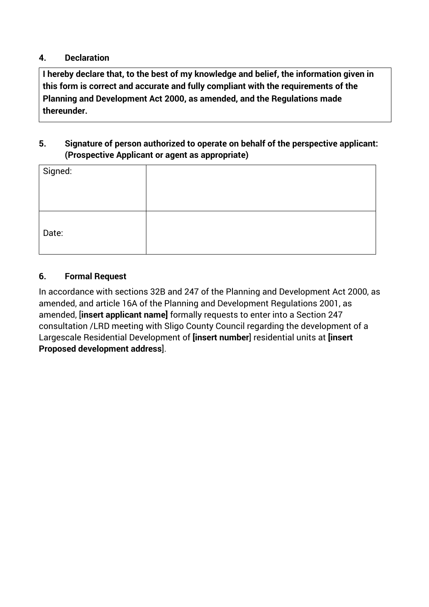#### **4. Declaration**

**I hereby declare that, to the best of my knowledge and belief, the information given in this form is correct and accurate and fully compliant with the requirements of the Planning and Development Act 2000, as amended, and the Regulations made thereunder.** 

## **5. Signature of person authorized to operate on behalf of the perspective applicant: (Prospective Applicant or agent as appropriate)**

| Signed: |  |
|---------|--|
|         |  |
|         |  |
|         |  |
| Date:   |  |
|         |  |

## **6. Formal Request**

In accordance with sections 32B and 247 of the Planning and Development Act 2000, as amended, and article 16A of the Planning and Development Regulations 2001, as amended, [**insert applicant name]** formally requests to enter into a Section 247 consultation /LRD meeting with Sligo County Council regarding the development of a Largescale Residential Development of **[insert number**] residential units at **[insert Proposed development address**].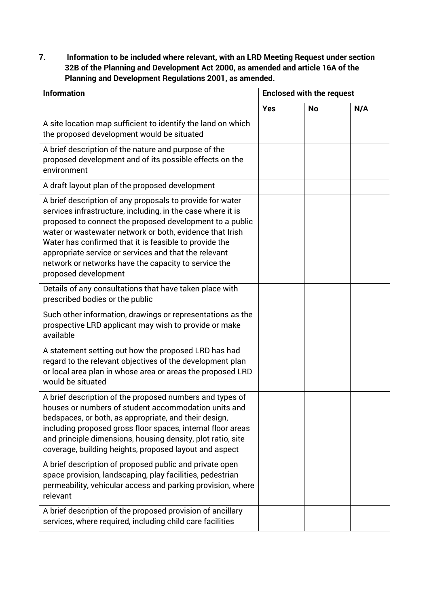**7. Information to be included where relevant, with an LRD Meeting Request under section 32B of the Planning and Development Act 2000, as amended and article 16A of the Planning and Development Regulations 2001, as amended.**

| <b>Information</b><br><b>Enclosed with the request</b>                                                                                                                                                                                                                                                                                                                                                                                              |            |           |     |
|-----------------------------------------------------------------------------------------------------------------------------------------------------------------------------------------------------------------------------------------------------------------------------------------------------------------------------------------------------------------------------------------------------------------------------------------------------|------------|-----------|-----|
|                                                                                                                                                                                                                                                                                                                                                                                                                                                     | <b>Yes</b> | <b>No</b> | N/A |
| A site location map sufficient to identify the land on which<br>the proposed development would be situated                                                                                                                                                                                                                                                                                                                                          |            |           |     |
| A brief description of the nature and purpose of the<br>proposed development and of its possible effects on the<br>environment                                                                                                                                                                                                                                                                                                                      |            |           |     |
| A draft layout plan of the proposed development                                                                                                                                                                                                                                                                                                                                                                                                     |            |           |     |
| A brief description of any proposals to provide for water<br>services infrastructure, including, in the case where it is<br>proposed to connect the proposed development to a public<br>water or wastewater network or both, evidence that Irish<br>Water has confirmed that it is feasible to provide the<br>appropriate service or services and that the relevant<br>network or networks have the capacity to service the<br>proposed development |            |           |     |
| Details of any consultations that have taken place with<br>prescribed bodies or the public                                                                                                                                                                                                                                                                                                                                                          |            |           |     |
| Such other information, drawings or representations as the<br>prospective LRD applicant may wish to provide or make<br>available                                                                                                                                                                                                                                                                                                                    |            |           |     |
| A statement setting out how the proposed LRD has had<br>regard to the relevant objectives of the development plan<br>or local area plan in whose area or areas the proposed LRD<br>would be situated                                                                                                                                                                                                                                                |            |           |     |
| A brief description of the proposed numbers and types of<br>houses or numbers of student accommodation units and<br>bedspaces, or both, as appropriate, and their design,<br>including proposed gross floor spaces, internal floor areas<br>and principle dimensions, housing density, plot ratio, site<br>coverage, building heights, proposed layout and aspect                                                                                   |            |           |     |
| A brief description of proposed public and private open<br>space provision, landscaping, play facilities, pedestrian<br>permeability, vehicular access and parking provision, where<br>relevant                                                                                                                                                                                                                                                     |            |           |     |
| A brief description of the proposed provision of ancillary<br>services, where required, including child care facilities                                                                                                                                                                                                                                                                                                                             |            |           |     |